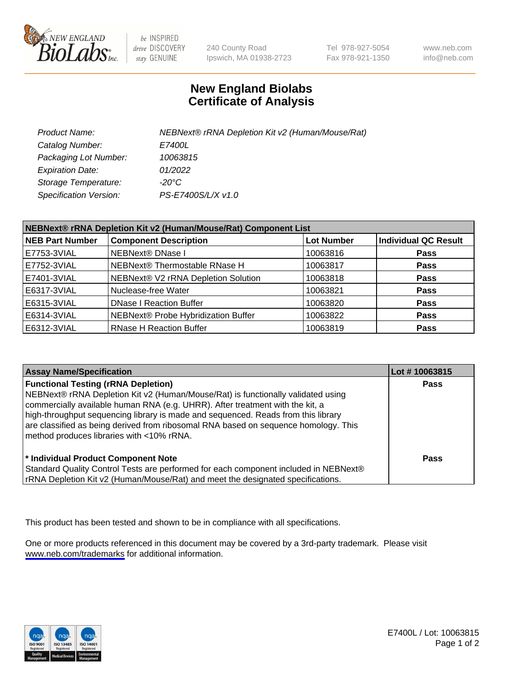

be INSPIRED drive DISCOVERY stay GENUINE

240 County Road Ipswich, MA 01938-2723 Tel 978-927-5054 Fax 978-921-1350

www.neb.com info@neb.com

## **New England Biolabs Certificate of Analysis**

| Product Name:           | NEBNext® rRNA Depletion Kit v2 (Human/Mouse/Rat) |
|-------------------------|--------------------------------------------------|
| Catalog Number:         | <i>E7400L</i>                                    |
| Packaging Lot Number:   | 10063815                                         |
| <b>Expiration Date:</b> | 01/2022                                          |
| Storage Temperature:    | -20°C                                            |
| Specification Version:  | PS-E7400S/L/X v1.0                               |

| NEBNext® rRNA Depletion Kit v2 (Human/Mouse/Rat) Component List |                                     |                   |                             |
|-----------------------------------------------------------------|-------------------------------------|-------------------|-----------------------------|
| <b>NEB Part Number</b>                                          | <b>Component Description</b>        | <b>Lot Number</b> | <b>Individual QC Result</b> |
| E7753-3VIAL                                                     | NEBNext® DNase I                    | 10063816          | <b>Pass</b>                 |
| E7752-3VIAL                                                     | NEBNext® Thermostable RNase H       | 10063817          | <b>Pass</b>                 |
| E7401-3VIAL                                                     | NEBNext® V2 rRNA Depletion Solution | 10063818          | <b>Pass</b>                 |
| E6317-3VIAL                                                     | Nuclease-free Water                 | 10063821          | <b>Pass</b>                 |
| E6315-3VIAL                                                     | <b>DNase I Reaction Buffer</b>      | 10063820          | <b>Pass</b>                 |
| E6314-3VIAL                                                     | NEBNext® Probe Hybridization Buffer | 10063822          | <b>Pass</b>                 |
| E6312-3VIAL                                                     | <b>RNase H Reaction Buffer</b>      | 10063819          | <b>Pass</b>                 |

| <b>Assay Name/Specification</b>                                                                                                                                                                                                                                                                                                                                                                                                          | Lot #10063815 |
|------------------------------------------------------------------------------------------------------------------------------------------------------------------------------------------------------------------------------------------------------------------------------------------------------------------------------------------------------------------------------------------------------------------------------------------|---------------|
| <b>Functional Testing (rRNA Depletion)</b><br>NEBNext® rRNA Depletion Kit v2 (Human/Mouse/Rat) is functionally validated using<br>commercially available human RNA (e.g. UHRR). After treatment with the kit, a<br>high-throughput sequencing library is made and sequenced. Reads from this library<br>are classified as being derived from ribosomal RNA based on sequence homology. This<br>method produces libraries with <10% rRNA. | <b>Pass</b>   |
| * Individual Product Component Note<br>Standard Quality Control Tests are performed for each component included in NEBNext®<br>rRNA Depletion Kit v2 (Human/Mouse/Rat) and meet the designated specifications.                                                                                                                                                                                                                           | Pass          |

This product has been tested and shown to be in compliance with all specifications.

One or more products referenced in this document may be covered by a 3rd-party trademark. Please visit <www.neb.com/trademarks>for additional information.